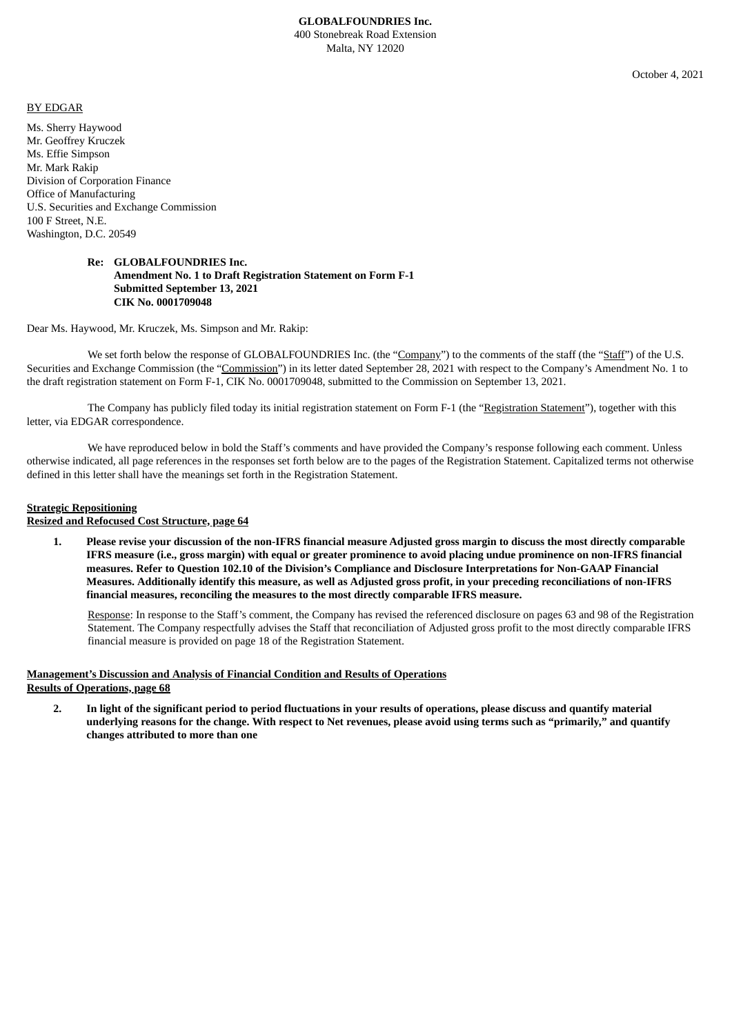## BY EDGAR

Ms. Sherry Haywood Mr. Geoffrey Kruczek Ms. Effie Simpson Mr. Mark Rakip Division of Corporation Finance Office of Manufacturing U.S. Securities and Exchange Commission 100 F Street, N.E. Washington, D.C. 20549

# **Re: GLOBALFOUNDRIES Inc. Amendment No. 1 to Draft Registration Statement on Form F-1 Submitted September 13, 2021 CIK No. 0001709048**

Dear Ms. Haywood, Mr. Kruczek, Ms. Simpson and Mr. Rakip:

We set forth below the response of GLOBALFOUNDRIES Inc. (the "Company") to the comments of the staff (the "Staff") of the U.S. Securities and Exchange Commission (the "Commission") in its letter dated September 28, 2021 with respect to the Company's Amendment No. 1 to the draft registration statement on Form F-1, CIK No. 0001709048, submitted to the Commission on September 13, 2021.

The Company has publicly filed today its initial registration statement on Form F-1 (the "Registration Statement"), together with this letter, via EDGAR correspondence.

We have reproduced below in bold the Staff's comments and have provided the Company's response following each comment. Unless otherwise indicated, all page references in the responses set forth below are to the pages of the Registration Statement. Capitalized terms not otherwise defined in this letter shall have the meanings set forth in the Registration Statement.

# **Strategic Repositioning**

# **Resized and Refocused Cost Structure, page 64**

Please revise your discussion of the non-IFRS financial measure Adjusted gross margin to discuss the most directly comparable IFRS measure (i.e., gross margin) with equal or greater prominence to avoid placing undue prominence on non-IFRS financial **measures. Refer to Question 102.10 of the Division's Compliance and Disclosure Interpretations for Non-GAAP Financial** Measures. Additionally identify this measure, as well as Adjusted gross profit, in your preceding reconciliations of non-IFRS **financial measures, reconciling the measures to the most directly comparable IFRS measure.**

Response: In response to the Staff's comment, the Company has revised the referenced disclosure on pages 63 and 98 of the Registration Statement. The Company respectfully advises the Staff that reconciliation of Adjusted gross profit to the most directly comparable IFRS financial measure is provided on page 18 of the Registration Statement.

## **Management's Discussion and Analysis of Financial Condition and Results of Operations**

**Results of Operations, page 68**

2. In light of the significant period to period fluctuations in your results of operations, please discuss and quantify material underlying reasons for the change. With respect to Net revenues, please avoid using terms such as "primarily," and quantify **changes attributed to more than one**

October 4, 2021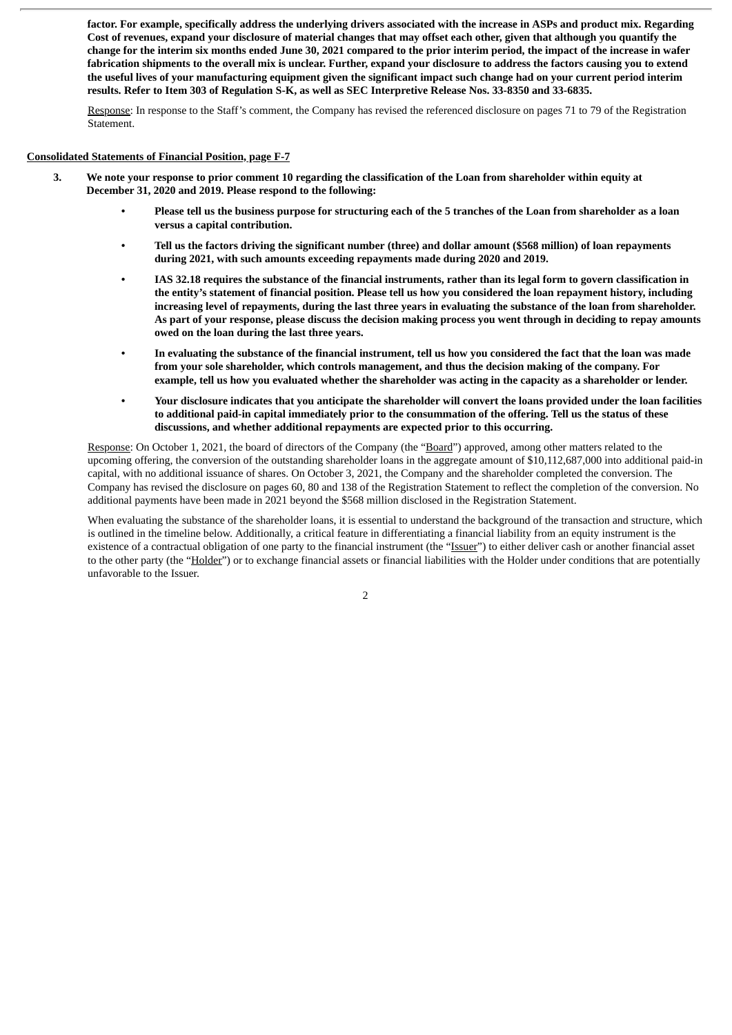factor. For example, specifically address the underlying drivers associated with the increase in ASPs and product mix. Regarding Cost of revenues, expand your disclosure of material changes that may offset each other, given that although you quantify the change for the interim six months ended June 30, 2021 compared to the prior interim period, the impact of the increase in wafer fabrication shipments to the overall mix is unclear. Further, expand your disclosure to address the factors causing you to extend the useful lives of your manufacturing equipment given the significant impact such change had on your current period interim results. Refer to Item 303 of Regulation S-K, as well as SEC Interpretive Release Nos. 33-8350 and 33-6835.

Response: In response to the Staff's comment, the Company has revised the referenced disclosure on pages 71 to 79 of the Registration Statement.

### **Consolidated Statements of Financial Position, page F-7**

- 3. We note your response to prior comment 10 regarding the classification of the Loan from shareholder within equity at **December 31, 2020 and 2019. Please respond to the following:**
	- Please tell us the business purpose for structuring each of the 5 tranches of the Loan from shareholder as a loan **versus a capital contribution.**
	- Tell us the factors driving the significant number (three) and dollar amount (\$568 million) of loan repayments **during 2021, with such amounts exceeding repayments made during 2020 and 2019.**
	- IAS 32.18 requires the substance of the financial instruments, rather than its legal form to govern classification in the entity's statement of financial position. Please tell us how you considered the loan repayment history, including increasing level of repayments, during the last three years in evaluating the substance of the loan from shareholder. As part of your response, please discuss the decision making process you went through in deciding to repay amounts **owed on the loan during the last three years.**
	- In evaluating the substance of the financial instrument, tell us how you considered the fact that the loan was made **from your sole shareholder, which controls management, and thus the decision making of the company. For** example, tell us how you evaluated whether the shareholder was acting in the capacity as a shareholder or lender.
	- Your disclosure indicates that you anticipate the shareholder will convert the loans provided under the loan facilities to additional paid-in capital immediately prior to the consummation of the offering. Tell us the status of these **discussions, and whether additional repayments are expected prior to this occurring.**

Response: On October 1, 2021, the board of directors of the Company (the "Board") approved, among other matters related to the upcoming offering, the conversion of the outstanding shareholder loans in the aggregate amount of \$10,112,687,000 into additional paid-in capital, with no additional issuance of shares. On October 3, 2021, the Company and the shareholder completed the conversion. The Company has revised the disclosure on pages 60, 80 and 138 of the Registration Statement to reflect the completion of the conversion. No additional payments have been made in 2021 beyond the \$568 million disclosed in the Registration Statement.

When evaluating the substance of the shareholder loans, it is essential to understand the background of the transaction and structure, which is outlined in the timeline below. Additionally, a critical feature in differentiating a financial liability from an equity instrument is the existence of a contractual obligation of one party to the financial instrument (the "Issuer") to either deliver cash or another financial asset to the other party (the "Holder") or to exchange financial assets or financial liabilities with the Holder under conditions that are potentially unfavorable to the Issuer.

 $\overline{2}$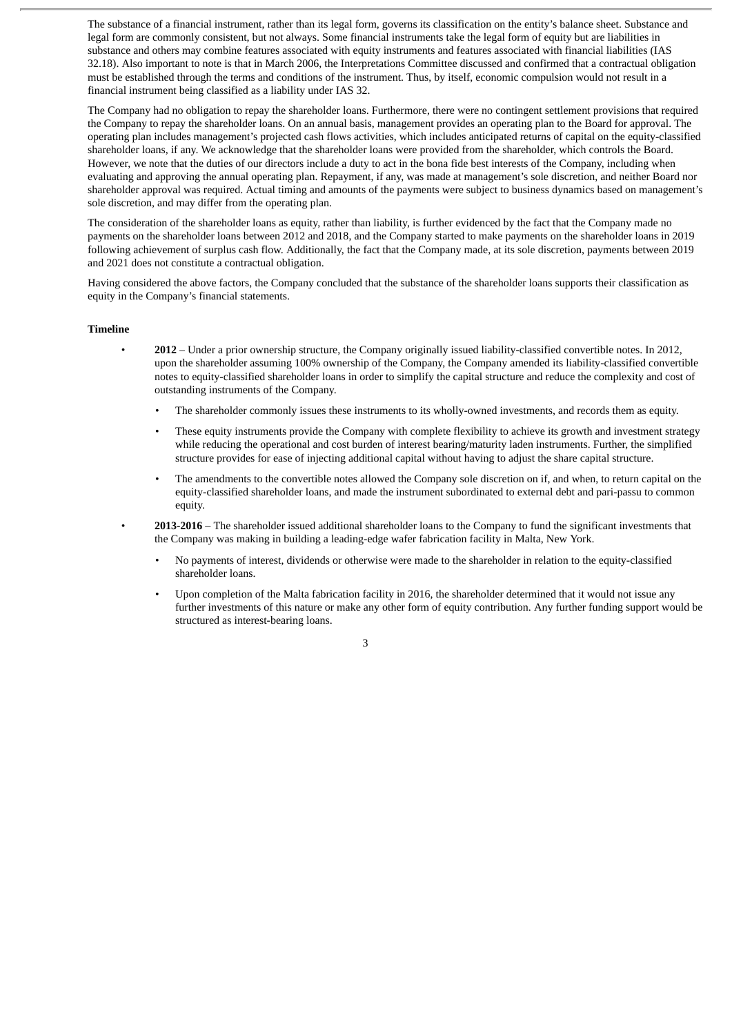The substance of a financial instrument, rather than its legal form, governs its classification on the entity's balance sheet. Substance and legal form are commonly consistent, but not always. Some financial instruments take the legal form of equity but are liabilities in substance and others may combine features associated with equity instruments and features associated with financial liabilities (IAS 32.18). Also important to note is that in March 2006, the Interpretations Committee discussed and confirmed that a contractual obligation must be established through the terms and conditions of the instrument. Thus, by itself, economic compulsion would not result in a financial instrument being classified as a liability under IAS 32.

The Company had no obligation to repay the shareholder loans. Furthermore, there were no contingent settlement provisions that required the Company to repay the shareholder loans. On an annual basis, management provides an operating plan to the Board for approval. The operating plan includes management's projected cash flows activities, which includes anticipated returns of capital on the equity-classified shareholder loans, if any. We acknowledge that the shareholder loans were provided from the shareholder, which controls the Board. However, we note that the duties of our directors include a duty to act in the bona fide best interests of the Company, including when evaluating and approving the annual operating plan. Repayment, if any, was made at management's sole discretion, and neither Board nor shareholder approval was required. Actual timing and amounts of the payments were subject to business dynamics based on management's sole discretion, and may differ from the operating plan.

The consideration of the shareholder loans as equity, rather than liability, is further evidenced by the fact that the Company made no payments on the shareholder loans between 2012 and 2018, and the Company started to make payments on the shareholder loans in 2019 following achievement of surplus cash flow. Additionally, the fact that the Company made, at its sole discretion, payments between 2019 and 2021 does not constitute a contractual obligation.

Having considered the above factors, the Company concluded that the substance of the shareholder loans supports their classification as equity in the Company's financial statements.

### **Timeline**

- **2012** Under a prior ownership structure, the Company originally issued liability-classified convertible notes. In 2012, upon the shareholder assuming 100% ownership of the Company, the Company amended its liability-classified convertible notes to equity-classified shareholder loans in order to simplify the capital structure and reduce the complexity and cost of outstanding instruments of the Company.
	- The shareholder commonly issues these instruments to its wholly-owned investments, and records them as equity.
	- These equity instruments provide the Company with complete flexibility to achieve its growth and investment strategy while reducing the operational and cost burden of interest bearing/maturity laden instruments. Further, the simplified structure provides for ease of injecting additional capital without having to adjust the share capital structure.
	- The amendments to the convertible notes allowed the Company sole discretion on if, and when, to return capital on the equity-classified shareholder loans, and made the instrument subordinated to external debt and pari-passu to common equity.
- **2013-2016** The shareholder issued additional shareholder loans to the Company to fund the significant investments that the Company was making in building a leading-edge wafer fabrication facility in Malta, New York.
	- No payments of interest, dividends or otherwise were made to the shareholder in relation to the equity-classified shareholder loans.
	- Upon completion of the Malta fabrication facility in 2016, the shareholder determined that it would not issue any further investments of this nature or make any other form of equity contribution. Any further funding support would be structured as interest-bearing loans.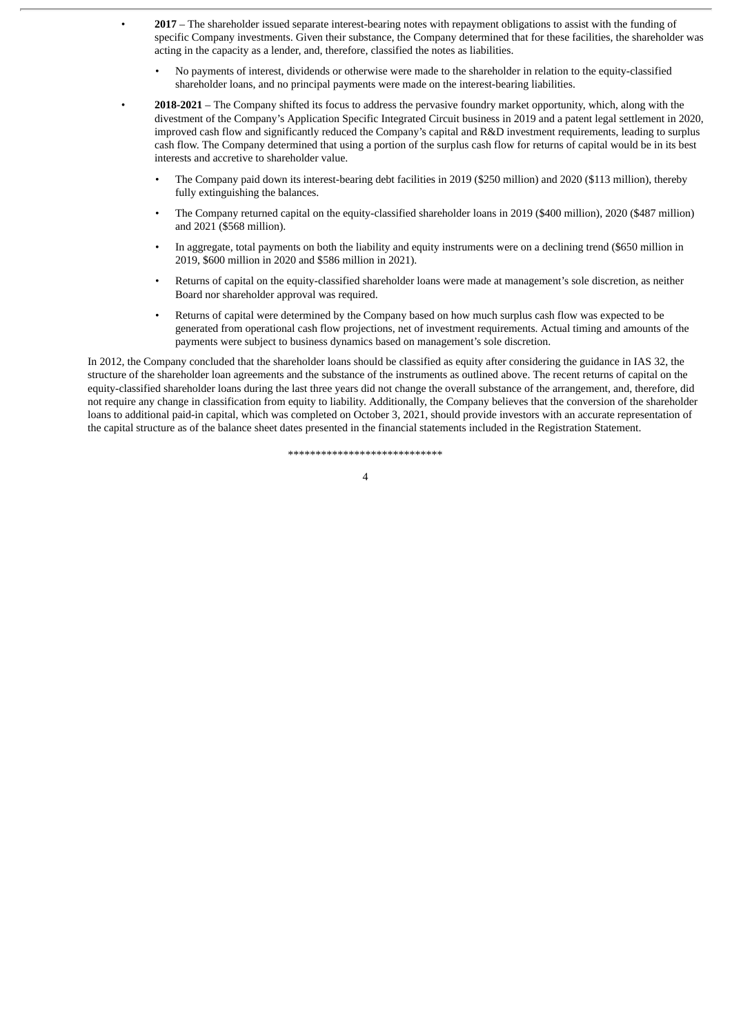- **2017** The shareholder issued separate interest-bearing notes with repayment obligations to assist with the funding of specific Company investments. Given their substance, the Company determined that for these facilities, the shareholder was acting in the capacity as a lender, and, therefore, classified the notes as liabilities.
	- No payments of interest, dividends or otherwise were made to the shareholder in relation to the equity-classified shareholder loans, and no principal payments were made on the interest-bearing liabilities.
- **2018-2021** The Company shifted its focus to address the pervasive foundry market opportunity, which, along with the divestment of the Company's Application Specific Integrated Circuit business in 2019 and a patent legal settlement in 2020, improved cash flow and significantly reduced the Company's capital and R&D investment requirements, leading to surplus cash flow. The Company determined that using a portion of the surplus cash flow for returns of capital would be in its best interests and accretive to shareholder value.
	- The Company paid down its interest-bearing debt facilities in 2019 (\$250 million) and 2020 (\$113 million), thereby fully extinguishing the balances.
	- The Company returned capital on the equity-classified shareholder loans in 2019 (\$400 million), 2020 (\$487 million) and 2021 (\$568 million).
	- In aggregate, total payments on both the liability and equity instruments were on a declining trend (\$650 million in 2019, \$600 million in 2020 and \$586 million in 2021).
	- Returns of capital on the equity-classified shareholder loans were made at management's sole discretion, as neither Board nor shareholder approval was required.
	- Returns of capital were determined by the Company based on how much surplus cash flow was expected to be generated from operational cash flow projections, net of investment requirements. Actual timing and amounts of the payments were subject to business dynamics based on management's sole discretion.

In 2012, the Company concluded that the shareholder loans should be classified as equity after considering the guidance in IAS 32, the structure of the shareholder loan agreements and the substance of the instruments as outlined above. The recent returns of capital on the equity-classified shareholder loans during the last three years did not change the overall substance of the arrangement, and, therefore, did not require any change in classification from equity to liability. Additionally, the Company believes that the conversion of the shareholder loans to additional paid-in capital, which was completed on October 3, 2021, should provide investors with an accurate representation of the capital structure as of the balance sheet dates presented in the financial statements included in the Registration Statement.

\*\*\*\*\*\*\*\*\*\*\*\*\*\*\*\*\*\*\*\*\*\*\*\*\*\*\*\*

4